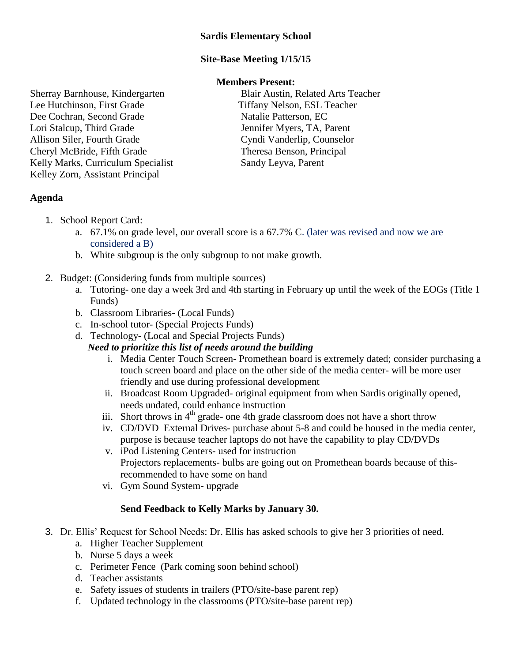### **Sardis Elementary School**

### **Site-Base Meeting 1/15/15**

#### **Members Present:**

Lee Hutchinson, First Grade Tiffany Nelson, ESL Teacher Dee Cochran, Second Grade Natalie Patterson, EC Lori Stalcup, Third Grade Jennifer Myers, TA, Parent Allison Siler, Fourth Grade Cyndi Vanderlip, Counselor Cheryl McBride, Fifth Grade Theresa Benson, Principal Kelly Marks, Curriculum Specialist Sandy Leyva, Parent Kelley Zorn, Assistant Principal

# Sherray Barnhouse, Kindergarten Blair Austin, Related Arts Teacher

### **Agenda**

- 1. School Report Card:
	- a. 67.1% on grade level, our overall score is a 67.7% C. (later was revised and now we are considered a B)
	- b. White subgroup is the only subgroup to not make growth.
- 2. Budget: (Considering funds from multiple sources)
	- a. Tutoring- one day a week 3rd and 4th starting in February up until the week of the EOGs (Title 1 Funds)
	- b. Classroom Libraries- (Local Funds)
	- c. In-school tutor- (Special Projects Funds)
	- d. Technology- (Local and Special Projects Funds)

# *Need to prioritize this list of needs around the building*

- i. Media Center Touch Screen- Promethean board is extremely dated; consider purchasing a touch screen board and place on the other side of the media center- will be more user friendly and use during professional development
- ii. Broadcast Room Upgraded- original equipment from when Sardis originally opened, needs undated, could enhance instruction
- iii. Short throws in  $4<sup>th</sup>$  grade- one 4th grade classroom does not have a short throw
- iv. CD/DVD External Drives- purchase about 5-8 and could be housed in the media center, purpose is because teacher laptops do not have the capability to play CD/DVDs
- v. iPod Listening Centers- used for instruction Projectors replacements- bulbs are going out on Promethean boards because of thisrecommended to have some on hand
- vi. Gym Sound System- upgrade

# **Send Feedback to Kelly Marks by January 30.**

- 3. Dr. Ellis' Request for School Needs: Dr. Ellis has asked schools to give her 3 priorities of need.
	- a. Higher Teacher Supplement
	- b. Nurse 5 days a week
	- c. Perimeter Fence (Park coming soon behind school)
	- d. Teacher assistants
	- e. Safety issues of students in trailers (PTO/site-base parent rep)
	- f. Updated technology in the classrooms (PTO/site-base parent rep)